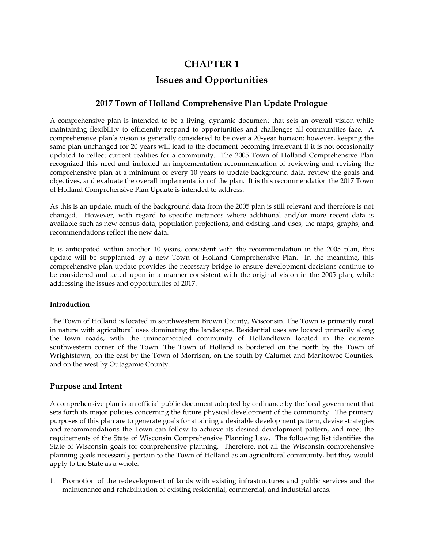# **CHAPTER 1 Issues and Opportunities**

## **2017 Town of Holland Comprehensive Plan Update Prologue**

A comprehensive plan is intended to be a living, dynamic document that sets an overall vision while maintaining flexibility to efficiently respond to opportunities and challenges all communities face. A comprehensive plan's vision is generally considered to be over a 20-year horizon; however, keeping the same plan unchanged for 20 years will lead to the document becoming irrelevant if it is not occasionally updated to reflect current realities for a community. The 2005 Town of Holland Comprehensive Plan recognized this need and included an implementation recommendation of reviewing and revising the comprehensive plan at a minimum of every 10 years to update background data, review the goals and objectives, and evaluate the overall implementation of the plan. It is this recommendation the 2017 Town of Holland Comprehensive Plan Update is intended to address.

As this is an update, much of the background data from the 2005 plan is still relevant and therefore is not changed. However, with regard to specific instances where additional and/or more recent data is available such as new census data, population projections, and existing land uses, the maps, graphs, and recommendations reflect the new data.

It is anticipated within another 10 years, consistent with the recommendation in the 2005 plan, this update will be supplanted by a new Town of Holland Comprehensive Plan. In the meantime, this comprehensive plan update provides the necessary bridge to ensure development decisions continue to be considered and acted upon in a manner consistent with the original vision in the 2005 plan, while addressing the issues and opportunities of 2017.

## **Introduction**

The Town of Holland is located in southwestern Brown County, Wisconsin. The Town is primarily rural in nature with agricultural uses dominating the landscape. Residential uses are located primarily along the town roads, with the unincorporated community of Hollandtown located in the extreme southwestern corner of the Town. The Town of Holland is bordered on the north by the Town of Wrightstown, on the east by the Town of Morrison, on the south by Calumet and Manitowoc Counties, and on the west by Outagamie County.

## **Purpose and Intent**

A comprehensive plan is an official public document adopted by ordinance by the local government that sets forth its major policies concerning the future physical development of the community. The primary purposes of this plan are to generate goals for attaining a desirable development pattern, devise strategies and recommendations the Town can follow to achieve its desired development pattern, and meet the requirements of the State of Wisconsin Comprehensive Planning Law. The following list identifies the State of Wisconsin goals for comprehensive planning. Therefore, not all the Wisconsin comprehensive planning goals necessarily pertain to the Town of Holland as an agricultural community, but they would apply to the State as a whole.

1. Promotion of the redevelopment of lands with existing infrastructures and public services and the maintenance and rehabilitation of existing residential, commercial, and industrial areas.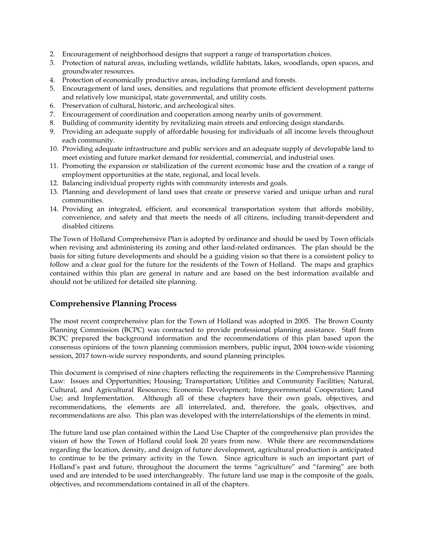- 2. Encouragement of neighborhood designs that support a range of transportation choices.
- 3. Protection of natural areas, including wetlands, wildlife habitats, lakes, woodlands, open spaces, and groundwater resources.
- 4. Protection of economically productive areas, including farmland and forests.
- 5. Encouragement of land uses, densities, and regulations that promote efficient development patterns and relatively low municipal, state governmental, and utility costs.
- 6. Preservation of cultural, historic, and archeological sites.
- 7. Encouragement of coordination and cooperation among nearby units of government.
- 8. Building of community identity by revitalizing main streets and enforcing design standards.
- 9. Providing an adequate supply of affordable housing for individuals of all income levels throughout each community.
- 10. Providing adequate infrastructure and public services and an adequate supply of developable land to meet existing and future market demand for residential, commercial, and industrial uses.
- 11. Promoting the expansion or stabilization of the current economic base and the creation of a range of employment opportunities at the state, regional, and local levels.
- 12. Balancing individual property rights with community interests and goals.
- 13. Planning and development of land uses that create or preserve varied and unique urban and rural communities.
- 14. Providing an integrated, efficient, and economical transportation system that affords mobility, convenience, and safety and that meets the needs of all citizens, including transit-dependent and disabled citizens.

The Town of Holland Comprehensive Plan is adopted by ordinance and should be used by Town officials when revising and administering its zoning and other land-related ordinances. The plan should be the basis for siting future developments and should be a guiding vision so that there is a consistent policy to follow and a clear goal for the future for the residents of the Town of Holland. The maps and graphics contained within this plan are general in nature and are based on the best information available and should not be utilized for detailed site planning.

## **Comprehensive Planning Process**

The most recent comprehensive plan for the Town of Holland was adopted in 2005. The Brown County Planning Commission (BCPC) was contracted to provide professional planning assistance. Staff from BCPC prepared the background information and the recommendations of this plan based upon the consensus opinions of the town planning commission members, public input, 2004 town-wide visioning session, 2017 town-wide survey respondents, and sound planning principles.

This document is comprised of nine chapters reflecting the requirements in the Comprehensive Planning Law: Issues and Opportunities; Housing; Transportation; Utilities and Community Facilities; Natural, Cultural, and Agricultural Resources; Economic Development; Intergovernmental Cooperation; Land Use; and Implementation. Although all of these chapters have their own goals, objectives, and recommendations, the elements are all interrelated, and, therefore, the goals, objectives, and recommendations are also. This plan was developed with the interrelationships of the elements in mind.

The future land use plan contained within the Land Use Chapter of the comprehensive plan provides the vision of how the Town of Holland could look 20 years from now. While there are recommendations regarding the location, density, and design of future development, agricultural production is anticipated to continue to be the primary activity in the Town. Since agriculture is such an important part of Holland's past and future, throughout the document the terms "agriculture" and "farming" are both used and are intended to be used interchangeably. The future land use map is the composite of the goals, objectives, and recommendations contained in all of the chapters.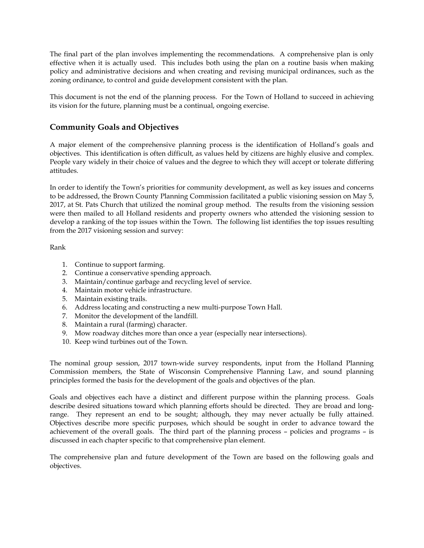The final part of the plan involves implementing the recommendations. A comprehensive plan is only effective when it is actually used. This includes both using the plan on a routine basis when making policy and administrative decisions and when creating and revising municipal ordinances, such as the zoning ordinance, to control and guide development consistent with the plan.

This document is not the end of the planning process. For the Town of Holland to succeed in achieving its vision for the future, planning must be a continual, ongoing exercise.

# **Community Goals and Objectives**

A major element of the comprehensive planning process is the identification of Holland's goals and objectives. This identification is often difficult, as values held by citizens are highly elusive and complex. People vary widely in their choice of values and the degree to which they will accept or tolerate differing attitudes.

In order to identify the Town's priorities for community development, as well as key issues and concerns to be addressed, the Brown County Planning Commission facilitated a public visioning session on May 5, 2017, at St. Pats Church that utilized the nominal group method. The results from the visioning session were then mailed to all Holland residents and property owners who attended the visioning session to develop a ranking of the top issues within the Town. The following list identifies the top issues resulting from the 2017 visioning session and survey:

Rank

- 1. Continue to support farming.
- 2. Continue a conservative spending approach.
- 3. Maintain/continue garbage and recycling level of service.
- 4. Maintain motor vehicle infrastructure.
- 5. Maintain existing trails.
- 6. Address locating and constructing a new multi-purpose Town Hall.
- 7. Monitor the development of the landfill.
- 8. Maintain a rural (farming) character.
- 9. Mow roadway ditches more than once a year (especially near intersections).
- 10. Keep wind turbines out of the Town.

The nominal group session, 2017 town-wide survey respondents, input from the Holland Planning Commission members, the State of Wisconsin Comprehensive Planning Law, and sound planning principles formed the basis for the development of the goals and objectives of the plan.

Goals and objectives each have a distinct and different purpose within the planning process. Goals describe desired situations toward which planning efforts should be directed. They are broad and longrange. They represent an end to be sought; although, they may never actually be fully attained. Objectives describe more specific purposes, which should be sought in order to advance toward the achievement of the overall goals. The third part of the planning process – policies and programs – is discussed in each chapter specific to that comprehensive plan element.

The comprehensive plan and future development of the Town are based on the following goals and objectives.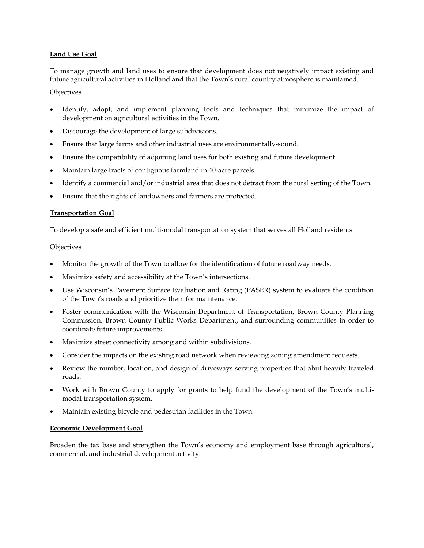## **Land Use Goal**

To manage growth and land uses to ensure that development does not negatively impact existing and future agricultural activities in Holland and that the Town's rural country atmosphere is maintained.

## **Objectives**

- Identify, adopt, and implement planning tools and techniques that minimize the impact of development on agricultural activities in the Town.
- Discourage the development of large subdivisions.
- Ensure that large farms and other industrial uses are environmentally-sound.
- Ensure the compatibility of adjoining land uses for both existing and future development.
- Maintain large tracts of contiguous farmland in 40-acre parcels.
- Identify a commercial and/or industrial area that does not detract from the rural setting of the Town.
- Ensure that the rights of landowners and farmers are protected.

## **Transportation Goal**

To develop a safe and efficient multi-modal transportation system that serves all Holland residents.

## **Objectives**

- Monitor the growth of the Town to allow for the identification of future roadway needs.
- Maximize safety and accessibility at the Town's intersections.
- Use Wisconsin's Pavement Surface Evaluation and Rating (PASER) system to evaluate the condition of the Town's roads and prioritize them for maintenance.
- Foster communication with the Wisconsin Department of Transportation, Brown County Planning Commission, Brown County Public Works Department, and surrounding communities in order to coordinate future improvements.
- Maximize street connectivity among and within subdivisions.
- Consider the impacts on the existing road network when reviewing zoning amendment requests.
- Review the number, location, and design of driveways serving properties that abut heavily traveled roads.
- Work with Brown County to apply for grants to help fund the development of the Town's multimodal transportation system.
- Maintain existing bicycle and pedestrian facilities in the Town.

## **Economic Development Goal**

Broaden the tax base and strengthen the Town's economy and employment base through agricultural, commercial, and industrial development activity.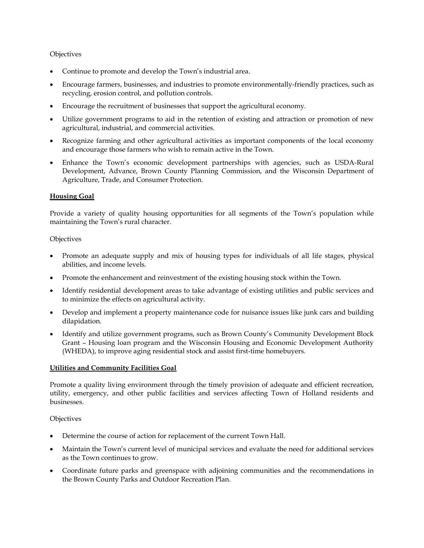#### **Objectives**

- Continue to promote and develop the Town's industrial area.
- Encourage farmers, businesses, and industries to promote environmentally-friendly practices, such as recycling, erosion control, and pollution controls.
- Encourage the recruitment of businesses that support the agricultural economy.
- Utilize government programs to aid in the retention of existing and attraction or promotion of new agricultural, industrial, and commercial activities.
- Recognize farming and other agricultural activities as important components of the local economy and encourage those farmers who wish to remain active in the Town.
- Enhance the Town's economic development partnerships with agencies, such as USDA-Rural Development, Advance, Brown County Planning Commission, and the Wisconsin Department of Agriculture, Trade, and Consumer Protection.

#### **Housing Goal**

Provide a variety of quality housing opportunities for all segments of the Town's population while maintaining the Town's rural character.

#### **Objectives**

- Promote an adequate supply and mix of housing types for individuals of all life stages, physical abilities, and income levels.
- Promote the enhancement and reinvestment of the existing housing stock within the Town.
- Identify residential development areas to take advantage of existing utilities and public services and to minimize the effects on agricultural activity.
- Develop and implement a property maintenance code for nuisance issues like junk cars and building dilapidation.
- Identify and utilize government programs, such as Brown County's Community Development Block Grant – Housing loan program and the Wisconsin Housing and Economic Development Authority (WHEDA), to improve aging residential stock and assist first-time homebuyers.

#### **Utilities and Community Facilities Goal**

Promote a quality living environment through the timely provision of adequate and efficient recreation, utility, emergency, and other public facilities and services affecting Town of Holland residents and businesses.

#### **Objectives**

- Determine the course of action for replacement of the current Town Hall.
- Maintain the Town's current level of municipal services and evaluate the need for additional services as the Town continues to grow.
- Coordinate future parks and greenspace with adjoining communities and the recommendations in the Brown County Parks and Outdoor Recreation Plan.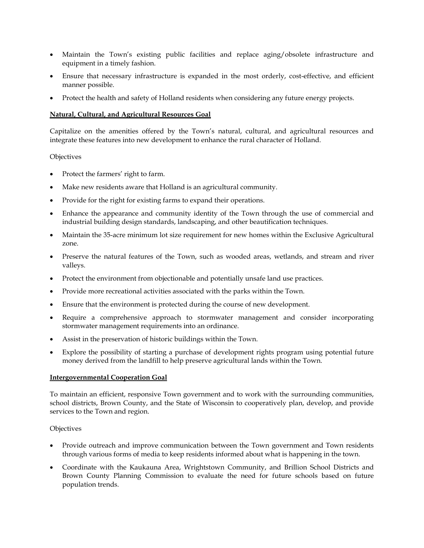- Maintain the Town's existing public facilities and replace aging/obsolete infrastructure and equipment in a timely fashion.
- Ensure that necessary infrastructure is expanded in the most orderly, cost-effective, and efficient manner possible.
- Protect the health and safety of Holland residents when considering any future energy projects.

#### **Natural, Cultural, and Agricultural Resources Goal**

Capitalize on the amenities offered by the Town's natural, cultural, and agricultural resources and integrate these features into new development to enhance the rural character of Holland.

#### **Objectives**

- Protect the farmers' right to farm.
- Make new residents aware that Holland is an agricultural community.
- Provide for the right for existing farms to expand their operations.
- Enhance the appearance and community identity of the Town through the use of commercial and industrial building design standards, landscaping, and other beautification techniques.
- Maintain the 35-acre minimum lot size requirement for new homes within the Exclusive Agricultural zone.
- Preserve the natural features of the Town, such as wooded areas, wetlands, and stream and river valleys.
- Protect the environment from objectionable and potentially unsafe land use practices.
- Provide more recreational activities associated with the parks within the Town.
- Ensure that the environment is protected during the course of new development.
- Require a comprehensive approach to stormwater management and consider incorporating stormwater management requirements into an ordinance.
- Assist in the preservation of historic buildings within the Town.
- Explore the possibility of starting a purchase of development rights program using potential future money derived from the landfill to help preserve agricultural lands within the Town.

#### **Intergovernmental Cooperation Goal**

To maintain an efficient, responsive Town government and to work with the surrounding communities, school districts, Brown County, and the State of Wisconsin to cooperatively plan, develop, and provide services to the Town and region.

#### **Objectives**

- Provide outreach and improve communication between the Town government and Town residents through various forms of media to keep residents informed about what is happening in the town.
- Coordinate with the Kaukauna Area, Wrightstown Community, and Brillion School Districts and Brown County Planning Commission to evaluate the need for future schools based on future population trends.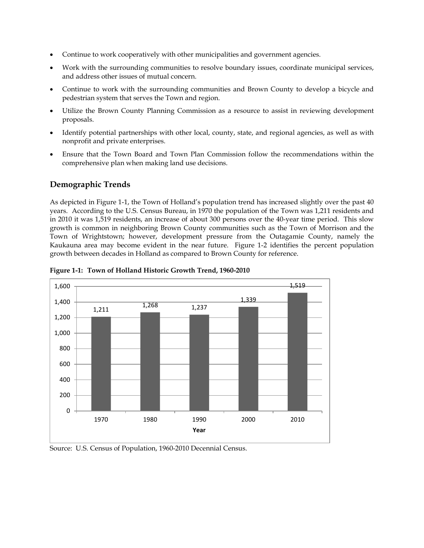- Continue to work cooperatively with other municipalities and government agencies.
- Work with the surrounding communities to resolve boundary issues, coordinate municipal services, and address other issues of mutual concern.
- Continue to work with the surrounding communities and Brown County to develop a bicycle and pedestrian system that serves the Town and region.
- Utilize the Brown County Planning Commission as a resource to assist in reviewing development proposals.
- Identify potential partnerships with other local, county, state, and regional agencies, as well as with nonprofit and private enterprises.
- Ensure that the Town Board and Town Plan Commission follow the recommendations within the comprehensive plan when making land use decisions.

# **Demographic Trends**

As depicted in Figure 1-1, the Town of Holland's population trend has increased slightly over the past 40 years. According to the U.S. Census Bureau, in 1970 the population of the Town was 1,211 residents and in 2010 it was 1,519 residents, an increase of about 300 persons over the 40-year time period. This slow growth is common in neighboring Brown County communities such as the Town of Morrison and the Town of Wrightstown; however, development pressure from the Outagamie County, namely the Kaukauna area may become evident in the near future. Figure 1-2 identifies the percent population growth between decades in Holland as compared to Brown County for reference.



**Figure 1-1: Town of Holland Historic Growth Trend, 1960-2010**

Source: U.S. Census of Population, 1960-2010 Decennial Census.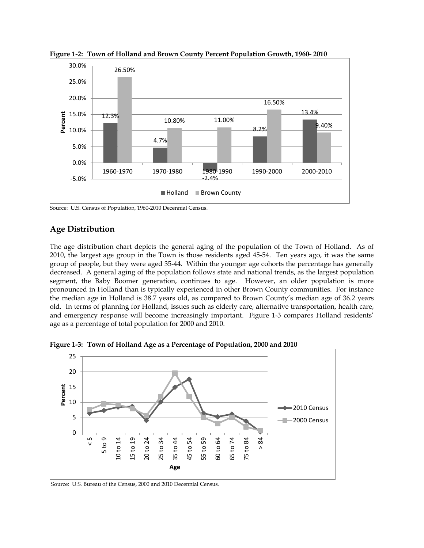

**Figure 1-2: Town of Holland and Brown County Percent Population Growth, 1960- 2010**

Source: U.S. Census of Population, 1960-2010 Decennial Census.

# **Age Distribution**

The age distribution chart depicts the general aging of the population of the Town of Holland. As of 2010, the largest age group in the Town is those residents aged 45-54. Ten years ago, it was the same group of people, but they were aged 35-44. Within the younger age cohorts the percentage has generally decreased. A general aging of the population follows state and national trends, as the largest population segment, the Baby Boomer generation, continues to age. However, an older population is more pronounced in Holland than is typically experienced in other Brown County communities. For instance the median age in Holland is 38.7 years old, as compared to Brown County's median age of 36.2 years old. In terms of planning for Holland, issues such as elderly care, alternative transportation, health care, and emergency response will become increasingly important. Figure 1-3 compares Holland residents' age as a percentage of total population for 2000 and 2010.



**Figure 1-3: Town of Holland Age as a Percentage of Population, 2000 and 2010**

Source: U.S. Bureau of the Census, 2000 and 2010 Decennial Census.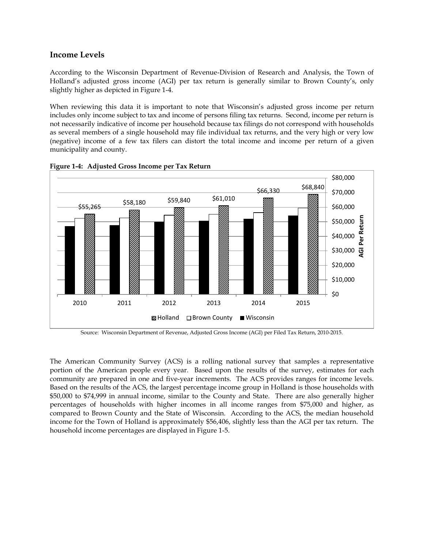## **Income Levels**

According to the Wisconsin Department of Revenue-Division of Research and Analysis, the Town of Holland's adjusted gross income (AGI) per tax return is generally similar to Brown County's, only slightly higher as depicted in Figure 1-4.

When reviewing this data it is important to note that Wisconsin's adjusted gross income per return includes only income subject to tax and income of persons filing tax returns. Second, income per return is not necessarily indicative of income per household because tax filings do not correspond with households as several members of a single household may file individual tax returns, and the very high or very low (negative) income of a few tax filers can distort the total income and income per return of a given municipality and county.





Source: Wisconsin Department of Revenue, Adjusted Gross Income (AGI) per Filed Tax Return, 2010-2015.

The American Community Survey (ACS) is a rolling national survey that samples a representative portion of the American people every year. Based upon the results of the survey, estimates for each community are prepared in one and five-year increments. The ACS provides ranges for income levels. Based on the results of the ACS, the largest percentage income group in Holland is those households with \$50,000 to \$74,999 in annual income, similar to the County and State. There are also generally higher percentages of households with higher incomes in all income ranges from \$75,000 and higher, as compared to Brown County and the State of Wisconsin. According to the ACS, the median household income for the Town of Holland is approximately \$56,406, slightly less than the AGI per tax return. The household income percentages are displayed in Figure 1-5.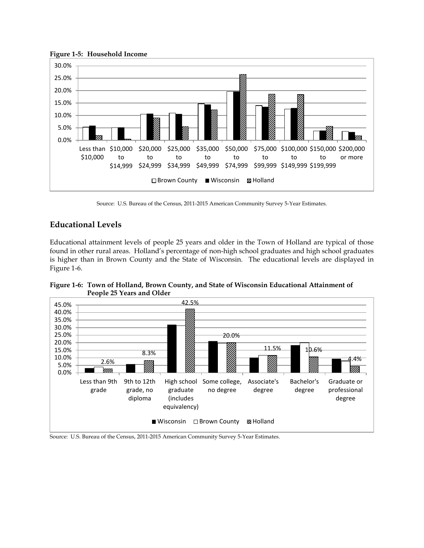

#### **Figure 1-5: Household Income**

Source: U.S. Bureau of the Census, 2011-2015 American Community Survey 5-Year Estimates.

## **Educational Levels**

Educational attainment levels of people 25 years and older in the Town of Holland are typical of those found in other rural areas. Holland's percentage of non-high school graduates and high school graduates is higher than in Brown County and the State of Wisconsin. The educational levels are displayed in Figure 1-6.

**Figure 1-6: Town of Holland, Brown County, and State of Wisconsin Educational Attainment of People 25 Years and Older**



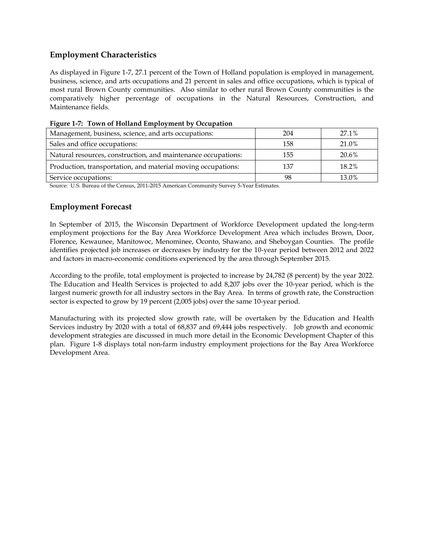# **Employment Characteristics**

As displayed in Figure 1-7, 27.1 percent of the Town of Holland population is employed in management, business, science, and arts occupations and 21 percent in sales and office occupations, which is typical of most rural Brown County communities. Also similar to other rural Brown County communities is the comparatively higher percentage of occupations in the Natural Resources, Construction, and Maintenance fields.

| Management, business, science, and arts occupations:          | 204 | 27.1% |
|---------------------------------------------------------------|-----|-------|
| Sales and office occupations:                                 | 158 | 21.0% |
| Natural resources, construction, and maintenance occupations: | 155 | 20.6% |
| Production, transportation, and material moving occupations:  | 137 | 18.2% |
| Service occupations:                                          | 98  | 13.0% |

**Figure 1-7: Town of Holland Employment by Occupation**

Source: U.S. Bureau of the Census, 2011-2015 American Community Survey 5-Year Estimates.

# **Employment Forecast**

In September of 2015, the Wisconsin Department of Workforce Development updated the long-term employment projections for the Bay Area Workforce Development Area which includes Brown, Door, Florence, Kewaunee, Manitowoc, Menominee, Oconto, Shawano, and Sheboygan Counties. The profile identifies projected job increases or decreases by industry for the 10-year period between 2012 and 2022 and factors in macro-economic conditions experienced by the area through September 2015.

According to the profile, total employment is projected to increase by 24,782 (8 percent) by the year 2022. The Education and Health Services is projected to add 8,207 jobs over the 10-year period, which is the largest numeric growth for all industry sectors in the Bay Area. In terms of growth rate, the Construction sector is expected to grow by 19 percent (2,005 jobs) over the same 10-year period.

Manufacturing with its projected slow growth rate, will be overtaken by the Education and Health Services industry by 2020 with a total of 68,837 and 69,444 jobs respectively. Job growth and economic development strategies are discussed in much more detail in the Economic Development Chapter of this plan. Figure 1-8 displays total non-farm industry employment projections for the Bay Area Workforce Development Area.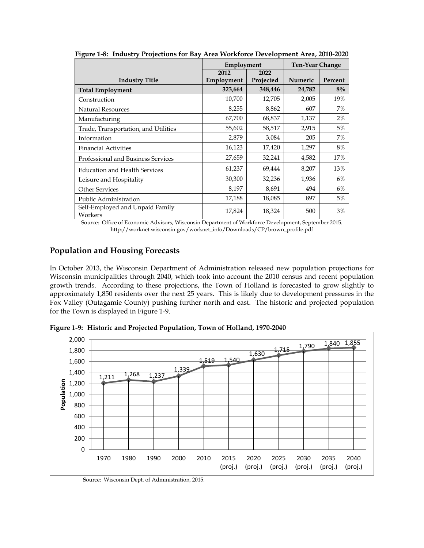|                                            | Employment |           | <b>Ten-Year Change</b> |         |
|--------------------------------------------|------------|-----------|------------------------|---------|
|                                            | 2012       | 2022      |                        |         |
| <b>Industry Title</b>                      | Employment | Projected | <b>Numeric</b>         | Percent |
| <b>Total Employment</b>                    | 323,664    | 348,446   | 24,782                 | $8\%$   |
| Construction                               | 10,700     | 12,705    | 2,005                  | 19%     |
| Natural Resources                          | 8,255      | 8,862     | 607                    | 7%      |
| Manufacturing                              | 67,700     | 68,837    | 1,137                  | 2%      |
| Trade, Transportation, and Utilities       | 55,602     | 58,517    | 2,915                  | 5%      |
| Information                                | 2,879      | 3,084     | 205                    | 7%      |
| <b>Financial Activities</b>                | 16,123     | 17,420    | 1,297                  | 8%      |
| Professional and Business Services         | 27,659     | 32,241    | 4,582                  | 17%     |
| <b>Education and Health Services</b>       | 61,237     | 69,444    | 8,207                  | 13%     |
| Leisure and Hospitality                    | 30,300     | 32,236    | 1,936                  | 6%      |
| <b>Other Services</b>                      | 8,197      | 8,691     | 494                    | 6%      |
| Public Administration                      | 17,188     | 18,085    | 897                    | 5%      |
| Self-Employed and Unpaid Family<br>Workers | 17,824     | 18,324    | 500                    | 3%      |

**Figure 1-8: Industry Projections for Bay Area Workforce Development Area, 2010-2020**

Source: Office of Economic Advisors, Wisconsin Department of Workforce Development, September 2015. http://worknet.wisconsin.gov/worknet\_info/Downloads/CP/brown\_profile.pdf

## **Population and Housing Forecasts**

In October 2013, the Wisconsin Department of Administration released new population projections for Wisconsin municipalities through 2040, which took into account the 2010 census and recent population growth trends. According to these projections, the Town of Holland is forecasted to grow slightly to approximately 1,850 residents over the next 25 years. This is likely due to development pressures in the Fox Valley (Outagamie County) pushing further north and east. The historic and projected population for the Town is displayed in Figure 1-9.



**Figure 1-9: Historic and Projected Population, Town of Holland, 1970-2040**

Source: Wisconsin Dept. of Administration, 2015.